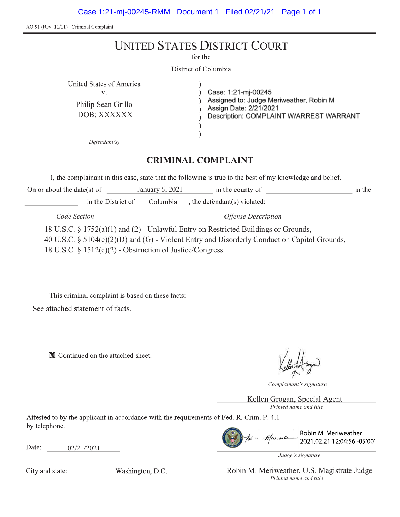Case 1:21-mj-00245-RMM Document 1 Filed 02/21/21 Page 1 of 1

AO 91 (Rev. 11/11) Criminal Complaint

# **UNITED STATES DISTRICT COURT**

for the

District of Columbia

 $\mathcal{L}$ 

ſ

**United States of America**  $V<sub>1</sub>$ 

Philip Sean Grillo DOB: XXXXXX Case: 1:21-mj-00245 ) Assigned to: Judge Meriweather, Robin M

Assign Date: 2/21/2021

Description: COMPLAINT W/ARREST WARRANT

Defendant(s)

## **CRIMINAL COMPLAINT**

I, the complainant in this case, state that the following is true to the best of my knowledge and belief.

January 6, 2021 On or about the date(s) of in the county of in the in the District of Columbia , the defendant(s) violated:

Code Section **Contract Contract Contract Contract Contract Contract Contract Contract Contract Contract Contract Contract Contract Contract Contract Contract Contract Contract Contract Contract Contract Contract Contract C** 

18 U.S.C. § 1752(a)(1) and (2) - Unlawful Entry on Restricted Buildings or Grounds, 40 U.S.C. § 5104(e)(2)(D) and (G) - Violent Entry and Disorderly Conduct on Capitol Grounds, 18 U.S.C. § 1512(c)(2) - Obstruction of Justice/Congress.

This criminal complaint is based on these facts: See attached statement of facts.

■ Continued on the attached sheet.

Complainant's signature

Printed name and title Kellen Grogan, Special Agent

Attested to by the applicant in accordance with the requirements of Fed. R. Crim. P. 4.1 by telephone.

Date: 02/21/2021



Judge's signature

Printed name and title Robin M. Meriweather, U.S. Magistrate Judge

City and state:

Washington, D.C.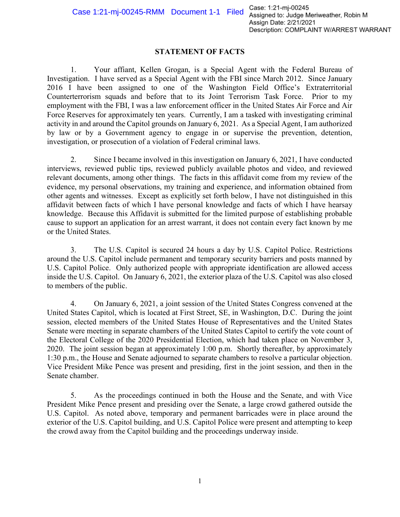Case 1:21-mj-00245-RMM Document 1-1 Filed Case: 1:21-mj-00245<br>
Robin M Assign Date: 2/21/2021 Description: COMPLAINT W/ARREST WARRANT

#### STATEMENT OF FACTS

1. Your affiant, Kellen Grogan, is a Special Agent with the Federal Bureau of Investigation. I have served as a Special Agent with the FBI since March 2012. Since January 2016 I have been assigned to one of the Washington Field Office's Extraterritorial Counterterrorism squads and before that to its Joint Terrorism Task Force. Prior to my employment with the FBI, I was a law enforcement officer in the United States Air Force and Air Force Reserves for approximately ten years. Currently, I am a tasked with investigating criminal activity in and around the Capitol grounds on January 6, 2021. As a Special Agent, I am authorized by law or by a Government agency to engage in or supervise the prevention, detention, investigation, or prosecution of a violation of Federal criminal laws.

2. Since I became involved in this investigation on January 6, 2021, I have conducted interviews, reviewed public tips, reviewed publicly available photos and video, and reviewed relevant documents, among other things. The facts in this affidavit come from my review of the evidence, my personal observations, my training and experience, and information obtained from other agents and witnesses. Except as explicitly set forth below, I have not distinguished in this affidavit between facts of which I have personal knowledge and facts of which I have hearsay knowledge. Because this Affidavit is submitted for the limited purpose of establishing probable cause to support an application for an arrest warrant, it does not contain every fact known by me or the United States.

3. The U.S. Capitol is secured 24 hours a day by U.S. Capitol Police. Restrictions around the U.S. Capitol include permanent and temporary security barriers and posts manned by U.S. Capitol Police. Only authorized people with appropriate identification are allowed access inside the U.S. Capitol. On January 6, 2021, the exterior plaza of the U.S. Capitol was also closed to members of the public.

4. On January 6, 2021, a joint session of the United States Congress convened at the United States Capitol, which is located at First Street, SE, in Washington, D.C. During the joint session, elected members of the United States House of Representatives and the United States Senate were meeting in separate chambers of the United States Capitol to certify the vote count of the Electoral College of the 2020 Presidential Election, which had taken place on November 3, 2020. The joint session began at approximately 1:00 p.m. Shortly thereafter, by approximately 1:30 p.m., the House and Senate adjourned to separate chambers to resolve a particular objection. Vice President Mike Pence was present and presiding, first in the joint session, and then in the Senate chamber.

5. As the proceedings continued in both the House and the Senate, and with Vice President Mike Pence present and presiding over the Senate, a large crowd gathered outside the U.S. Capitol. As noted above, temporary and permanent barricades were in place around the exterior of the U.S. Capitol building, and U.S. Capitol Police were present and attempting to keep the crowd away from the Capitol building and the proceedings underway inside.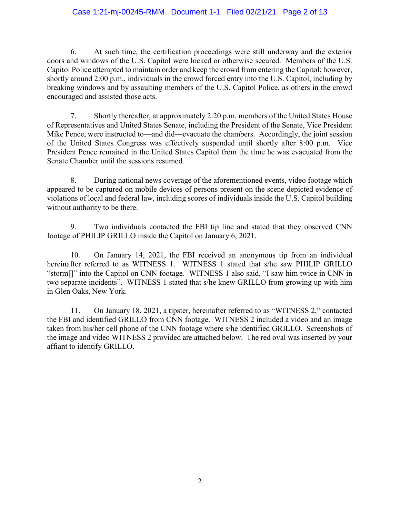#### Case 1:21-mj-00245-RMM Document 1-1 Filed 02/21/21 Page 2 of 13

6. At such time, the certification proceedings were still underway and the exterior doors and windows of the U.S. Capitol were locked or otherwise secured. Members of the U.S. Capitol Police attempted to maintain order and keep the crowd from entering the Capitol; however, shortly around 2:00 p.m., individuals in the crowd forced entry into the U.S. Capitol, including by breaking windows and by assaulting members of the U.S. Capitol Police, as others in the crowd encouraged and assisted those acts.

7. Shortly thereafter, at approximately 2:20 p.m. members of the United States House of Representatives and United States Senate, including the President of the Senate, Vice President Mike Pence, were instructed to—and did—evacuate the chambers. Accordingly, the joint session of the United States Congress was effectively suspended until shortly after 8:00 p.m. Vice President Pence remained in the United States Capitol from the time he was evacuated from the Senate Chamber until the sessions resumed.

8. During national news coverage of the aforementioned events, video footage which appeared to be captured on mobile devices of persons present on the scene depicted evidence of violations of local and federal law, including scores of individuals inside the U.S. Capitol building without authority to be there.

9. Two individuals contacted the FBI tip line and stated that they observed CNN footage of PHILIP GRILLO inside the Capitol on January 6, 2021.

10. On January 14, 2021, the FBI received an anonymous tip from an individual hereinafter referred to as WITNESS 1. WITNESS 1 stated that s/he saw PHILIP GRILLO "storm[]" into the Capitol on CNN footage. WITNESS 1 also said, "I saw him twice in CNN in two separate incidents". WITNESS 1 stated that s/he knew GRILLO from growing up with him in Glen Oaks, New York.

11. On January 18, 2021, a tipster, hereinafter referred to as "WITNESS 2," contacted the FBI and identified GRILLO from CNN footage. WITNESS 2 included a video and an image taken from his/her cell phone of the CNN footage where s/he identified GRILLO. Screenshots of the image and video WITNESS 2 provided are attached below. The red oval was inserted by your affiant to identify GRILLO.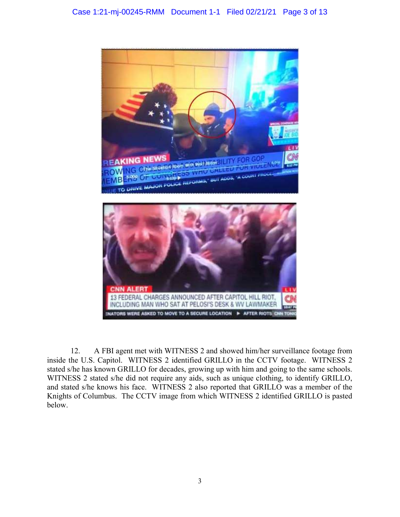



12. A FBI agent met with WITNESS 2 and showed him/her surveillance footage from inside the U.S. Capitol. WITNESS 2 identified GRILLO in the CCTV footage. WITNESS 2 stated s/he has known GRILLO for decades, growing up with him and going to the same schools. WITNESS 2 stated s/he did not require any aids, such as unique clothing, to identify GRILLO, and stated s/he knows his face. WITNESS 2 also reported that GRILLO was a member of the Knights of Columbus. The CCTV image from which WITNESS 2 identified GRILLO is pasted below.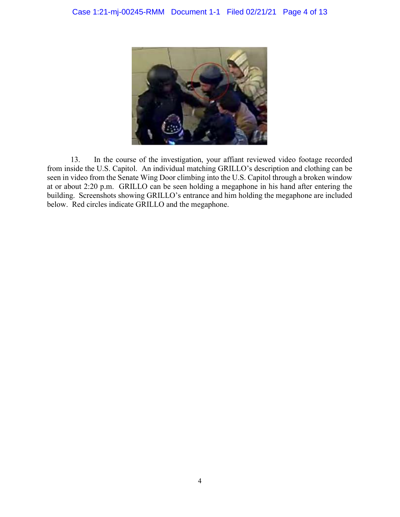

13. In the course of the investigation, your affiant reviewed video footage recorded from inside the U.S. Capitol. An individual matching GRILLO's description and clothing can be seen in video from the Senate Wing Door climbing into the U.S. Capitol through a broken window at or about 2:20 p.m. GRILLO can be seen holding a megaphone in his hand after entering the building. Screenshots showing GRILLO's entrance and him holding the megaphone are included below. Red circles indicate GRILLO and the megaphone.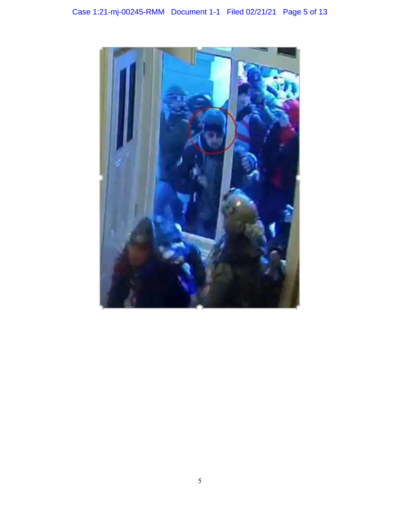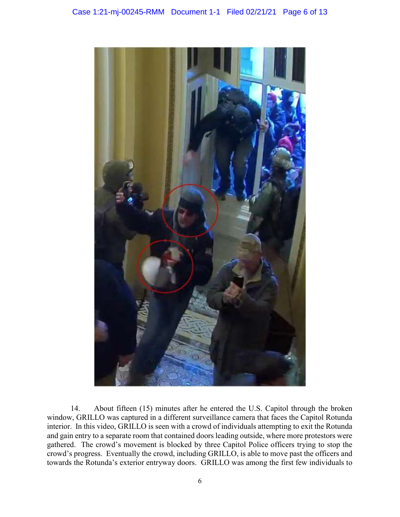

14. About fifteen (15) minutes after he entered the U.S. Capitol through the broken window, GRILLO was captured in a different surveillance camera that faces the Capitol Rotunda interior. In this video, GRILLO is seen with a crowd of individuals attempting to exit the Rotunda and gain entry to a separate room that contained doors leading outside, where more protestors were gathered. The crowd's movement is blocked by three Capitol Police officers trying to stop the crowd's progress. Eventually the crowd, including GRILLO, is able to move past the officers and towards the Rotunda's exterior entryway doors. GRILLO was among the first few individuals to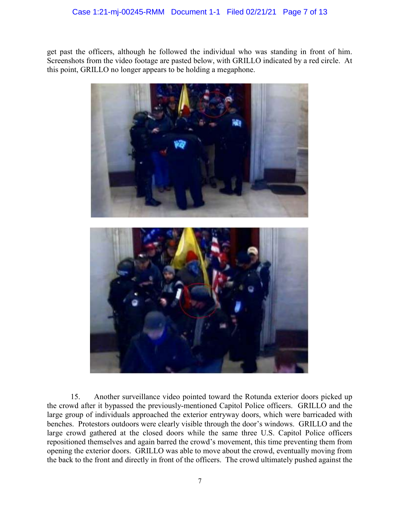get past the officers, although he followed the individual who was standing in front of him. Screenshots from the video footage are pasted below, with GRILLO indicated by a red circle. At this point, GRILLO no longer appears to be holding a megaphone.



15. Another surveillance video pointed toward the Rotunda exterior doors picked up the crowd after it bypassed the previously-mentioned Capitol Police officers. GRILLO and the large group of individuals approached the exterior entryway doors, which were barricaded with benches. Protestors outdoors were clearly visible through the door's windows. GRILLO and the large crowd gathered at the closed doors while the same three U.S. Capitol Police officers repositioned themselves and again barred the crowd's movement, this time preventing them from opening the exterior doors. GRILLO was able to move about the crowd, eventually moving from the back to the front and directly in front of the officers. The crowd ultimately pushed against the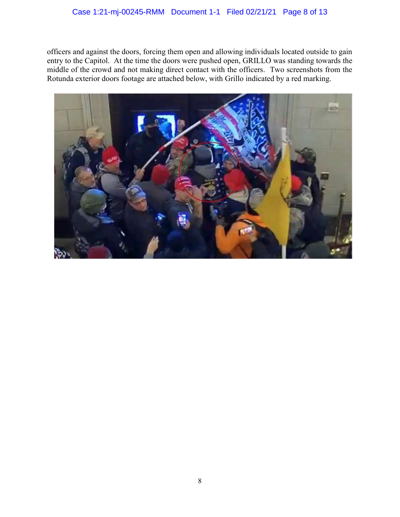### Case 1:21-mj-00245-RMM Document 1-1 Filed 02/21/21 Page 8 of 13

officers and against the doors, forcing them open and allowing individuals located outside to gain entry to the Capitol. At the time the doors were pushed open, GRILLO was standing towards the middle of the crowd and not making direct contact with the officers. Two screenshots from the Rotunda exterior doors footage are attached below, with Grillo indicated by a red marking.

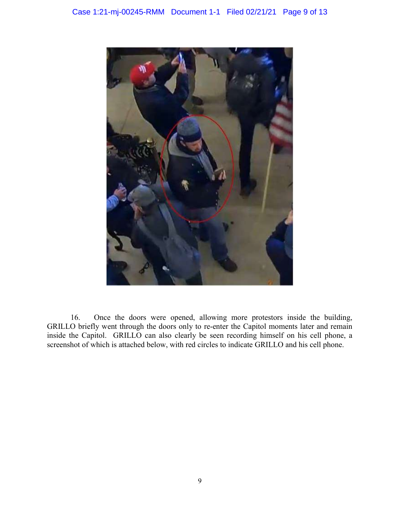

16. Once the doors were opened, allowing more protestors inside the building, GRILLO briefly went through the doors only to re-enter the Capitol moments later and remain inside the Capitol. GRILLO can also clearly be seen recording himself on his cell phone, a screenshot of which is attached below, with red circles to indicate GRILLO and his cell phone.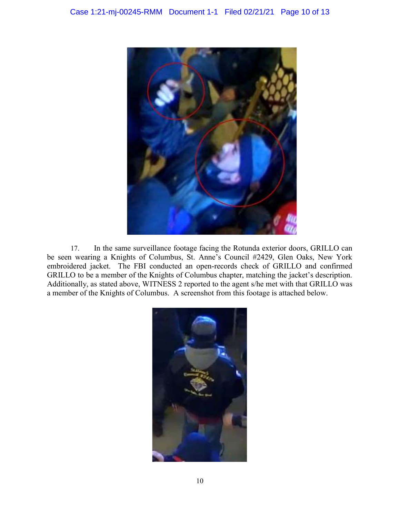

17. In the same surveillance footage facing the Rotunda exterior doors, GRILLO can be seen wearing a Knights of Columbus, St. Anne's Council #2429, Glen Oaks, New York embroidered jacket. The FBI conducted an open-records check of GRILLO and confirmed GRILLO to be a member of the Knights of Columbus chapter, matching the jacket's description. Additionally, as stated above, WITNESS 2 reported to the agent s/he met with that GRILLO was a member of the Knights of Columbus. A screenshot from this footage is attached below.

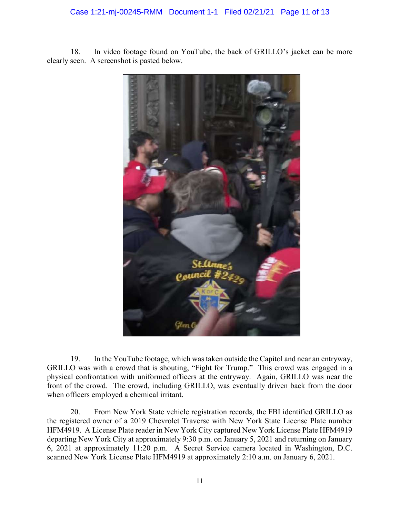#### Case 1:21-mj-00245-RMM Document 1-1 Filed 02/21/21 Page 11 of 13

18. In video footage found on YouTube, the back of GRILLO's jacket can be more clearly seen. A screenshot is pasted below.



19. In the YouTube footage, which was taken outside the Capitol and near an entryway, GRILLO was with a crowd that is shouting, "Fight for Trump." This crowd was engaged in a physical confrontation with uniformed officers at the entryway. Again, GRILLO was near the front of the crowd. The crowd, including GRILLO, was eventually driven back from the door when officers employed a chemical irritant.

20. From New York State vehicle registration records, the FBI identified GRILLO as the registered owner of a 2019 Chevrolet Traverse with New York State License Plate number HFM4919. A License Plate reader in New York City captured New York License Plate HFM4919 departing New York City at approximately 9:30 p.m. on January 5, 2021 and returning on January 6, 2021 at approximately 11:20 p.m. A Secret Service camera located in Washington, D.C. scanned New York License Plate HFM4919 at approximately 2:10 a.m. on January 6, 2021.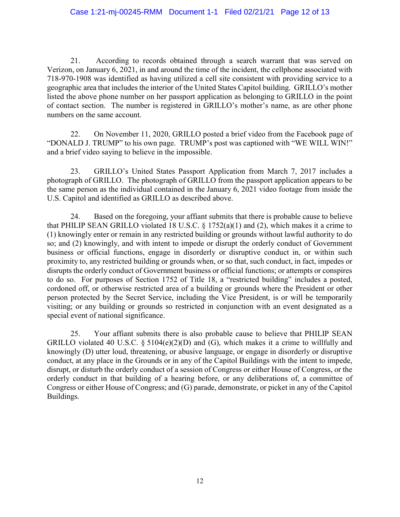21. According to records obtained through a search warrant that was served on Verizon, on January 6, 2021, in and around the time of the incident, the cellphone associated with 718-970-1908 was identified as having utilized a cell site consistent with providing service to a geographic area that includes the interior of the United States Capitol building. GRILLO's mother listed the above phone number on her passport application as belonging to GRILLO in the point of contact section. The number is registered in GRILLO's mother's name, as are other phone numbers on the same account.

22. On November 11, 2020, GRILLO posted a brief video from the Facebook page of "DONALD J. TRUMP" to his own page. TRUMP's post was captioned with "WE WILL WIN!" and a brief video saying to believe in the impossible.

23. GRILLO's United States Passport Application from March 7, 2017 includes a photograph of GRILLO. The photograph of GRILLO from the passport application appears to be the same person as the individual contained in the January 6, 2021 video footage from inside the U.S. Capitol and identified as GRILLO as described above.

24. Based on the foregoing, your affiant submits that there is probable cause to believe that PHILIP SEAN GRILLO violated 18 U.S.C.  $\S$  1752(a)(1) and (2), which makes it a crime to (1) knowingly enter or remain in any restricted building or grounds without lawful authority to do so; and (2) knowingly, and with intent to impede or disrupt the orderly conduct of Government business or official functions, engage in disorderly or disruptive conduct in, or within such proximity to, any restricted building or grounds when, or so that, such conduct, in fact, impedes or disrupts the orderly conduct of Government business or official functions; or attempts or conspires to do so. For purposes of Section 1752 of Title 18, a "restricted building" includes a posted, cordoned off, or otherwise restricted area of a building or grounds where the President or other person protected by the Secret Service, including the Vice President, is or will be temporarily visiting; or any building or grounds so restricted in conjunction with an event designated as a special event of national significance.

25. Your affiant submits there is also probable cause to believe that PHILIP SEAN GRILLO violated 40 U.S.C.  $\S$  5104(e)(2)(D) and (G), which makes it a crime to willfully and knowingly (D) utter loud, threatening, or abusive language, or engage in disorderly or disruptive conduct, at any place in the Grounds or in any of the Capitol Buildings with the intent to impede, disrupt, or disturb the orderly conduct of a session of Congress or either House of Congress, or the orderly conduct in that building of a hearing before, or any deliberations of, a committee of Congress or either House of Congress; and (G) parade, demonstrate, or picket in any of the Capitol Buildings.